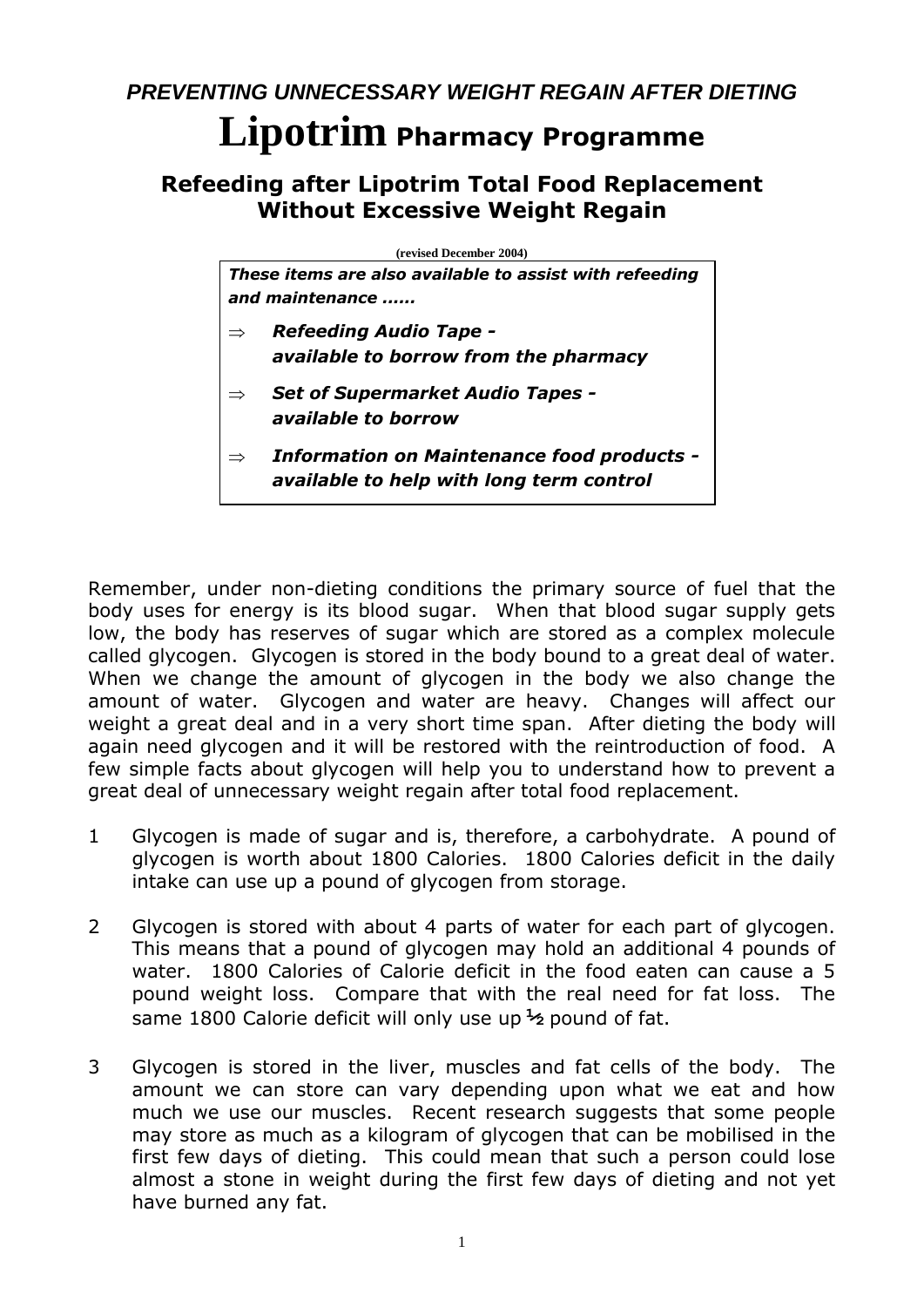*PREVENTING UNNECESSARY WEIGHT REGAIN AFTER DIETING*

# **Lipotrim Pharmacy Programme**

# **Refeeding after Lipotrim Total Food Replacement Without Excessive Weight Regain**

**(revised December 2004)**

*These items are also available to assist with refeeding and maintenance ......*

- *Refeeding Audio Tape available to borrow from the pharmacy*
- *Set of Supermarket Audio Tapes available to borrow*
- *Information on Maintenance food products available to help with long term control*

Remember, under non-dieting conditions the primary source of fuel that the body uses for energy is its blood sugar. When that blood sugar supply gets low, the body has reserves of sugar which are stored as a complex molecule called glycogen. Glycogen is stored in the body bound to a great deal of water. When we change the amount of glycogen in the body we also change the amount of water. Glycogen and water are heavy. Changes will affect our weight a great deal and in a very short time span. After dieting the body will again need glycogen and it will be restored with the reintroduction of food. A few simple facts about glycogen will help you to understand how to prevent a great deal of unnecessary weight regain after total food replacement.

- 1 Glycogen is made of sugar and is, therefore, a carbohydrate. A pound of glycogen is worth about 1800 Calories. 1800 Calories deficit in the daily intake can use up a pound of glycogen from storage.
- 2 Glycogen is stored with about 4 parts of water for each part of glycogen. This means that a pound of glycogen may hold an additional 4 pounds of water. 1800 Calories of Calorie deficit in the food eaten can cause a 5 pound weight loss. Compare that with the real need for fat loss. The same 1800 Calorie deficit will only use up **½** pound of fat.
- 3 Glycogen is stored in the liver, muscles and fat cells of the body. The amount we can store can vary depending upon what we eat and how much we use our muscles. Recent research suggests that some people may store as much as a kilogram of glycogen that can be mobilised in the first few days of dieting. This could mean that such a person could lose almost a stone in weight during the first few days of dieting and not yet have burned any fat.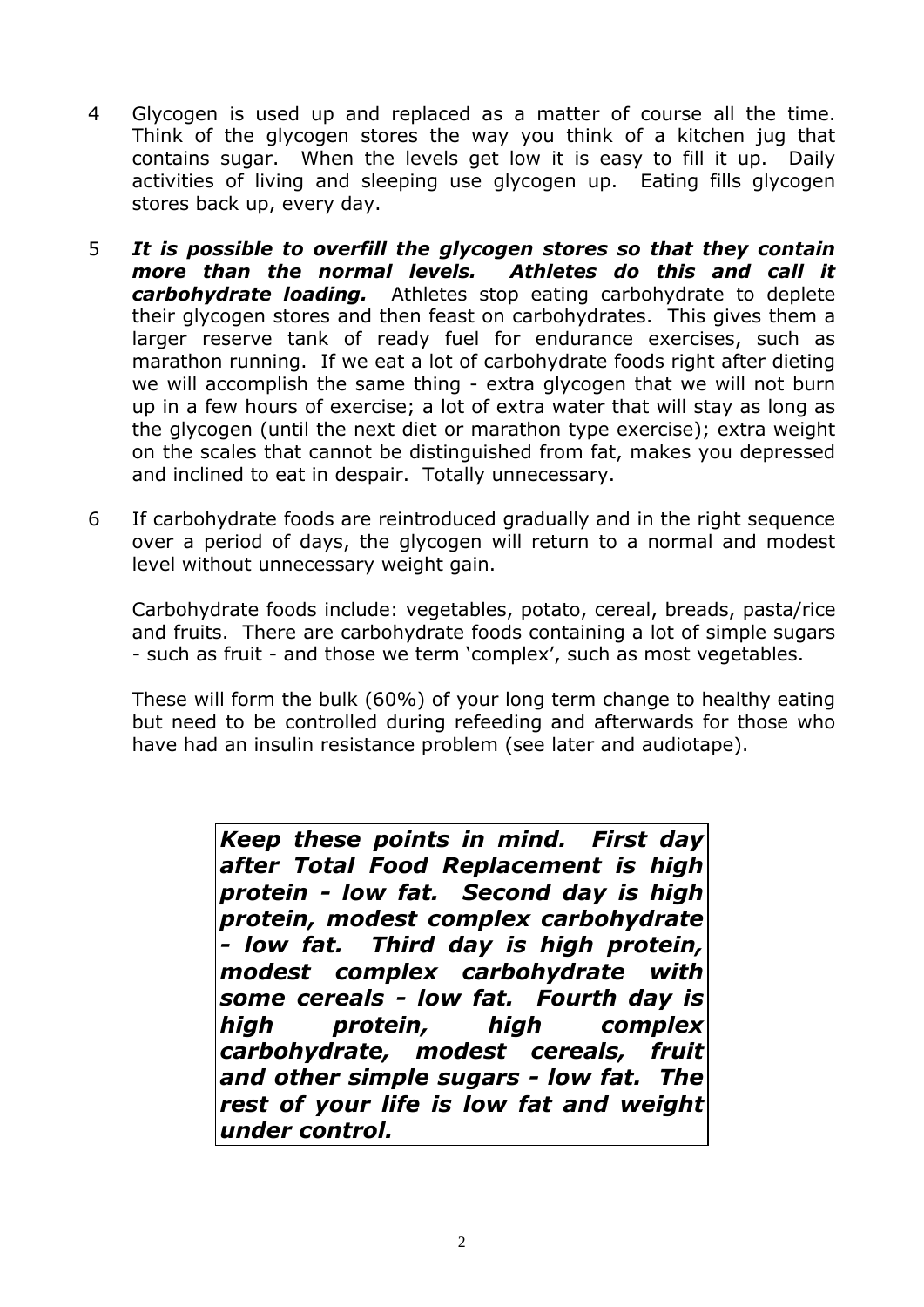- 4 Glycogen is used up and replaced as a matter of course all the time. Think of the glycogen stores the way you think of a kitchen jug that contains sugar. When the levels get low it is easy to fill it up. Daily activities of living and sleeping use glycogen up. Eating fills glycogen stores back up, every day.
- 5 *It is possible to overfill the glycogen stores so that they contain more than the normal levels. Athletes do this and call it carbohydrate loading.* Athletes stop eating carbohydrate to deplete their glycogen stores and then feast on carbohydrates. This gives them a larger reserve tank of ready fuel for endurance exercises, such as marathon running. If we eat a lot of carbohydrate foods right after dieting we will accomplish the same thing - extra glycogen that we will not burn up in a few hours of exercise; a lot of extra water that will stay as long as the glycogen (until the next diet or marathon type exercise); extra weight on the scales that cannot be distinguished from fat, makes you depressed and inclined to eat in despair. Totally unnecessary.
- 6 If carbohydrate foods are reintroduced gradually and in the right sequence over a period of days, the glycogen will return to a normal and modest level without unnecessary weight gain.

Carbohydrate foods include: vegetables, potato, cereal, breads, pasta/rice and fruits. There are carbohydrate foods containing a lot of simple sugars - such as fruit - and those we term 'complex', such as most vegetables.

These will form the bulk (60%) of your long term change to healthy eating but need to be controlled during refeeding and afterwards for those who have had an insulin resistance problem (see later and audiotape).

> *Keep these points in mind. First day after Total Food Replacement is high protein - low fat. Second day is high protein, modest complex carbohydrate - low fat. Third day is high protein, modest complex carbohydrate with some cereals - low fat. Fourth day is high protein, high complex carbohydrate, modest cereals, fruit and other simple sugars - low fat. The rest of your life is low fat and weight under control.*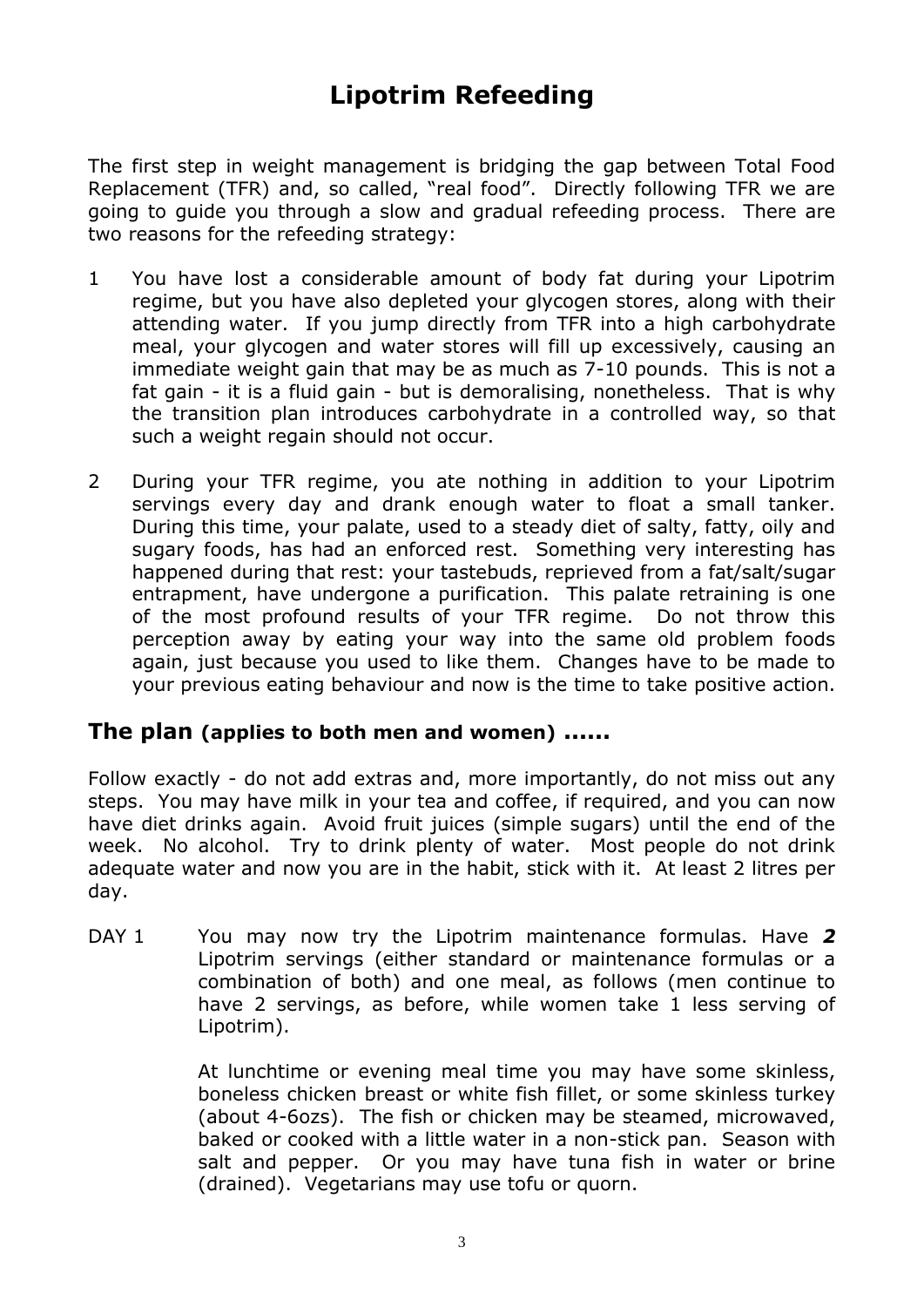# **Lipotrim Refeeding**

The first step in weight management is bridging the gap between Total Food Replacement (TFR) and, so called, "real food". Directly following TFR we are going to guide you through a slow and gradual refeeding process. There are two reasons for the refeeding strategy:

- 1 You have lost a considerable amount of body fat during your Lipotrim regime, but you have also depleted your glycogen stores, along with their attending water. If you jump directly from TFR into a high carbohydrate meal, your glycogen and water stores will fill up excessively, causing an immediate weight gain that may be as much as 7-10 pounds. This is not a fat gain - it is a fluid gain - but is demoralising, nonetheless. That is why the transition plan introduces carbohydrate in a controlled way, so that such a weight regain should not occur.
- 2 During your TFR regime, you ate nothing in addition to your Lipotrim servings every day and drank enough water to float a small tanker. During this time, your palate, used to a steady diet of salty, fatty, oily and sugary foods, has had an enforced rest. Something very interesting has happened during that rest: your tastebuds, reprieved from a fat/salt/sugar entrapment, have undergone a purification. This palate retraining is one of the most profound results of your TFR regime. Do not throw this perception away by eating your way into the same old problem foods again, just because you used to like them. Changes have to be made to your previous eating behaviour and now is the time to take positive action.

# **The plan (applies to both men and women) ......**

Follow exactly - do not add extras and, more importantly, do not miss out any steps. You may have milk in your tea and coffee, if required, and you can now have diet drinks again. Avoid fruit juices (simple sugars) until the end of the week. No alcohol. Try to drink plenty of water. Most people do not drink adequate water and now you are in the habit, stick with it. At least 2 litres per day.

DAY 1 You may now try the Lipotrim maintenance formulas. Have 2 Lipotrim servings (either standard or maintenance formulas or a combination of both) and one meal, as follows (men continue to have 2 servings, as before, while women take 1 less serving of Lipotrim).

> At lunchtime or evening meal time you may have some skinless, boneless chicken breast or white fish fillet, or some skinless turkey (about 4-6ozs). The fish or chicken may be steamed, microwaved, baked or cooked with a little water in a non-stick pan. Season with salt and pepper. Or you may have tuna fish in water or brine (drained). Vegetarians may use tofu or quorn.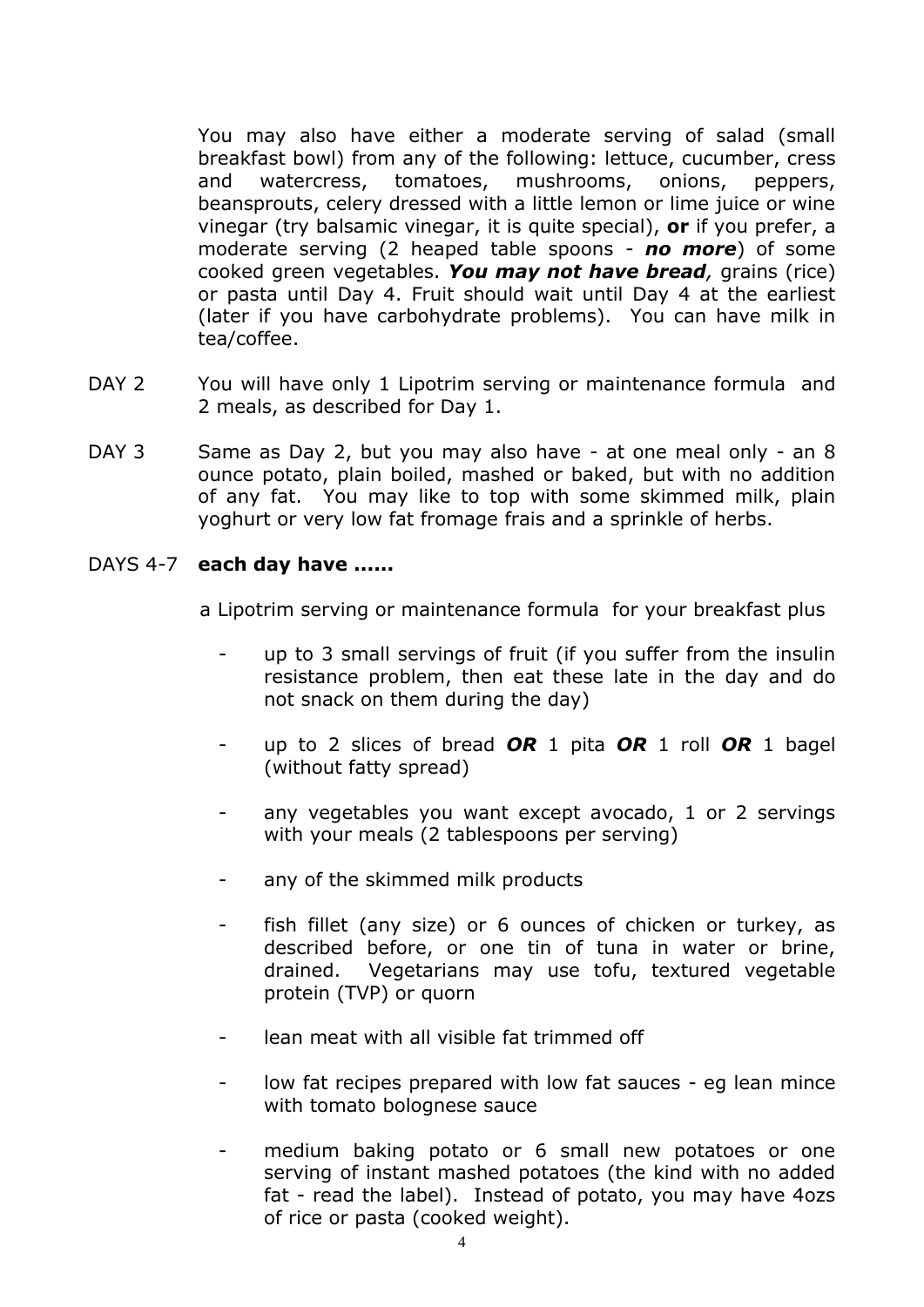You may also have either a moderate serving of salad (small breakfast bowl) from any of the following: lettuce, cucumber, cress and watercress, tomatoes, mushrooms, onions, peppers, beansprouts, celery dressed with a little lemon or lime juice or wine vinegar (try balsamic vinegar, it is quite special), **or** if you prefer, a moderate serving (2 heaped table spoons - *no more*) of some cooked green vegetables. *You may not have bread,* grains (rice) or pasta until Day 4. Fruit should wait until Day 4 at the earliest (later if you have carbohydrate problems). You can have milk in tea/coffee.

- DAY 2 You will have only 1 Lipotrim serving or maintenance formula and 2 meals, as described for Day 1.
- DAY 3 Same as Day 2, but you may also have at one meal only an 8 ounce potato, plain boiled, mashed or baked, but with no addition of any fat. You may like to top with some skimmed milk, plain yoghurt or very low fat fromage frais and a sprinkle of herbs.

#### DAYS 4-7 **each day have ......**

a Lipotrim serving or maintenance formula for your breakfast plus

- up to 3 small servings of fruit (if you suffer from the insulin resistance problem, then eat these late in the day and do not snack on them during the day)
- up to 2 slices of bread *OR* 1 pita *OR* 1 roll *OR* 1 bagel (without fatty spread)
- any vegetables you want except avocado, 1 or 2 servings with your meals (2 tablespoons per serving)
- any of the skimmed milk products
- fish fillet (any size) or 6 ounces of chicken or turkey, as described before, or one tin of tuna in water or brine, drained. Vegetarians may use tofu, textured vegetable protein (TVP) or quorn
- lean meat with all visible fat trimmed off
- low fat recipes prepared with low fat sauces eg lean mince with tomato bolognese sauce
- medium baking potato or 6 small new potatoes or one serving of instant mashed potatoes (the kind with no added fat - read the label). Instead of potato, you may have 4ozs of rice or pasta (cooked weight).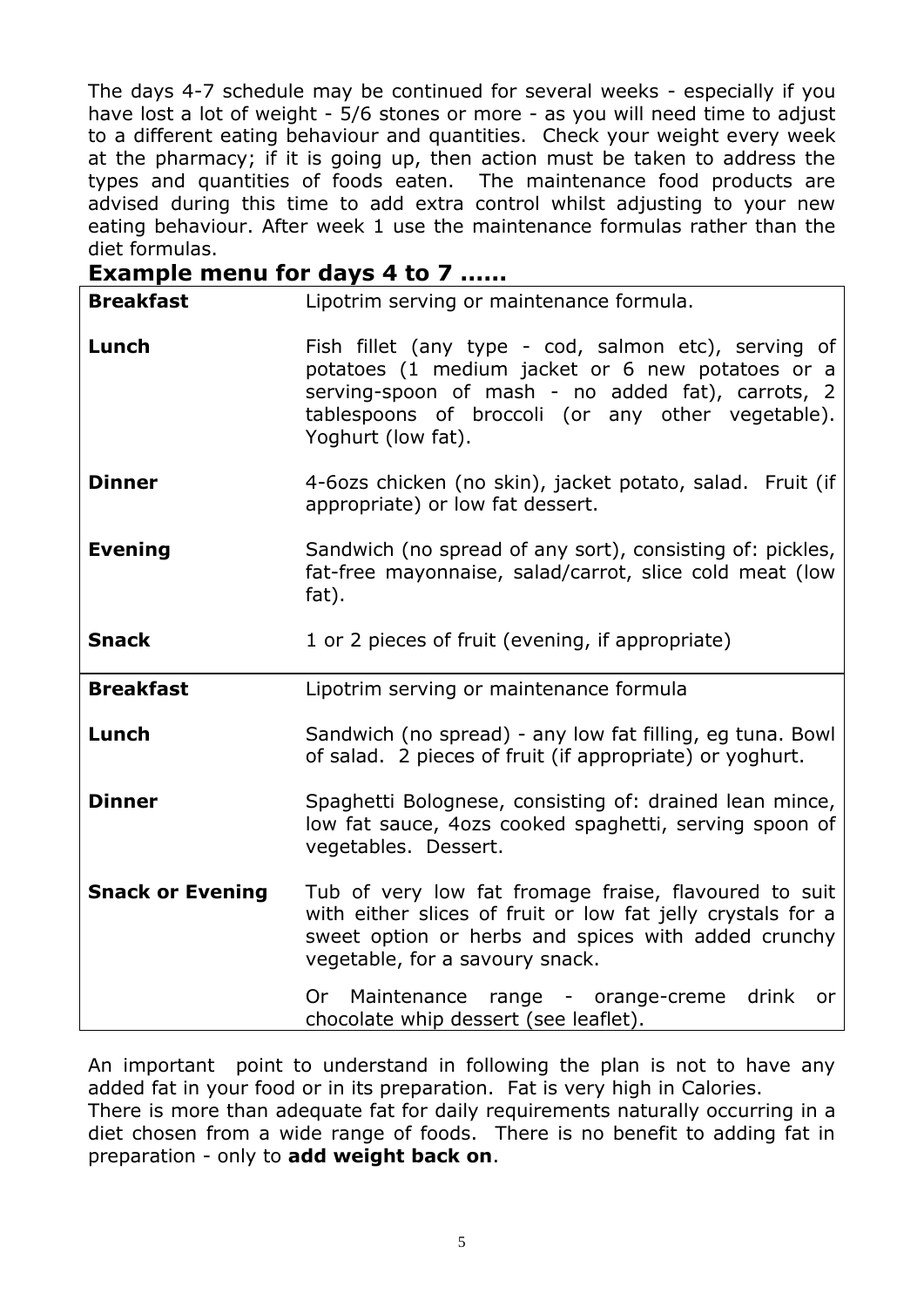The days 4-7 schedule may be continued for several weeks - especially if you have lost a lot of weight - 5/6 stones or more - as you will need time to adjust to a different eating behaviour and quantities. Check your weight every week at the pharmacy; if it is going up, then action must be taken to address the types and quantities of foods eaten. The maintenance food products are advised during this time to add extra control whilst adjusting to your new eating behaviour. After week 1 use the maintenance formulas rather than the diet formulas.

| <b>Example menu for days 4 to 7 </b> |                                                                                                                                                                                                                                          |  |  |
|--------------------------------------|------------------------------------------------------------------------------------------------------------------------------------------------------------------------------------------------------------------------------------------|--|--|
| <b>Breakfast</b>                     | Lipotrim serving or maintenance formula.                                                                                                                                                                                                 |  |  |
| Lunch                                | Fish fillet (any type - cod, salmon etc), serving of<br>potatoes (1 medium jacket or 6 new potatoes or a<br>serving-spoon of mash - no added fat), carrots, 2<br>tablespoons of broccoli (or any other vegetable).<br>Yoghurt (low fat). |  |  |
| <b>Dinner</b>                        | 4-6ozs chicken (no skin), jacket potato, salad. Fruit (if<br>appropriate) or low fat dessert.                                                                                                                                            |  |  |
| <b>Evening</b>                       | Sandwich (no spread of any sort), consisting of: pickles,<br>fat-free mayonnaise, salad/carrot, slice cold meat (low<br>fat).                                                                                                            |  |  |
| <b>Snack</b>                         | 1 or 2 pieces of fruit (evening, if appropriate)                                                                                                                                                                                         |  |  |
| <b>Breakfast</b>                     | Lipotrim serving or maintenance formula                                                                                                                                                                                                  |  |  |
| Lunch                                | Sandwich (no spread) - any low fat filling, eg tuna. Bowl<br>of salad. 2 pieces of fruit (if appropriate) or yoghurt.                                                                                                                    |  |  |
| <b>Dinner</b>                        | Spaghetti Bolognese, consisting of: drained lean mince,<br>low fat sauce, 4ozs cooked spaghetti, serving spoon of<br>vegetables. Dessert.                                                                                                |  |  |
| <b>Snack or Evening</b>              | Tub of very low fat fromage fraise, flavoured to suit<br>with either slices of fruit or low fat jelly crystals for a<br>sweet option or herbs and spices with added crunchy<br>vegetable, for a savoury snack.                           |  |  |
|                                      | Or Maintenance range - orange-creme drink<br>or<br>chocolate whip dessert (see leaflet).                                                                                                                                                 |  |  |

An important point to understand in following the plan is not to have any added fat in your food or in its preparation. Fat is very high in Calories. There is more than adequate fat for daily requirements naturally occurring in a diet chosen from a wide range of foods. There is no benefit to adding fat in preparation - only to **add weight back on**.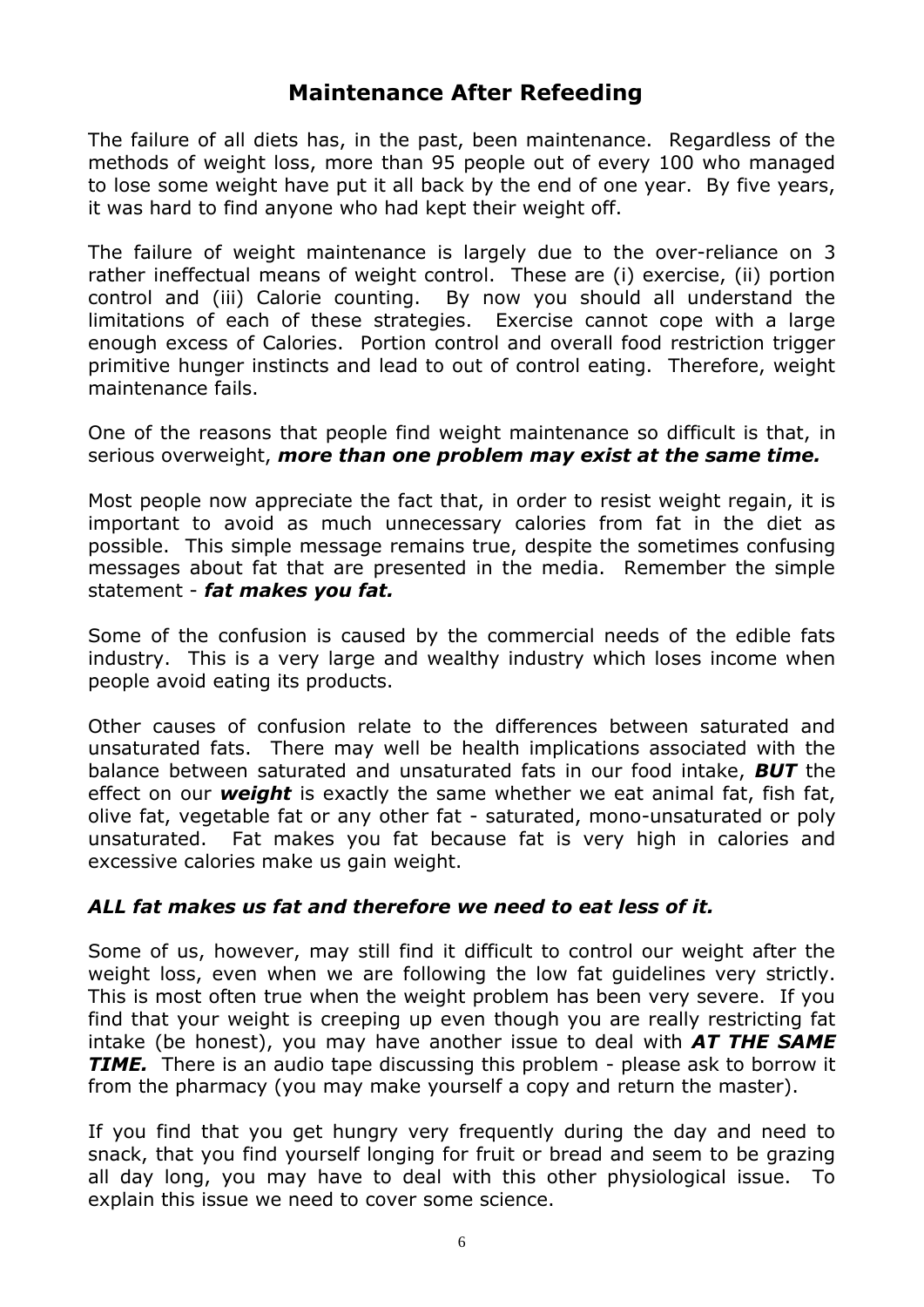# **Maintenance After Refeeding**

The failure of all diets has, in the past, been maintenance. Regardless of the methods of weight loss, more than 95 people out of every 100 who managed to lose some weight have put it all back by the end of one year. By five years, it was hard to find anyone who had kept their weight off.

The failure of weight maintenance is largely due to the over-reliance on 3 rather ineffectual means of weight control. These are (i) exercise, (ii) portion control and (iii) Calorie counting. By now you should all understand the limitations of each of these strategies. Exercise cannot cope with a large enough excess of Calories. Portion control and overall food restriction trigger primitive hunger instincts and lead to out of control eating. Therefore, weight maintenance fails.

One of the reasons that people find weight maintenance so difficult is that, in serious overweight, *more than one problem may exist at the same time.* 

Most people now appreciate the fact that, in order to resist weight regain, it is important to avoid as much unnecessary calories from fat in the diet as possible. This simple message remains true, despite the sometimes confusing messages about fat that are presented in the media. Remember the simple statement - *fat makes you fat.*

Some of the confusion is caused by the commercial needs of the edible fats industry. This is a very large and wealthy industry which loses income when people avoid eating its products.

Other causes of confusion relate to the differences between saturated and unsaturated fats. There may well be health implications associated with the balance between saturated and unsaturated fats in our food intake, *BUT* the effect on our *weight* is exactly the same whether we eat animal fat, fish fat, olive fat, vegetable fat or any other fat - saturated, mono-unsaturated or poly unsaturated. Fat makes you fat because fat is very high in calories and excessive calories make us gain weight.

#### *ALL fat makes us fat and therefore we need to eat less of it.*

Some of us, however, may still find it difficult to control our weight after the weight loss, even when we are following the low fat guidelines very strictly. This is most often true when the weight problem has been very severe. If you find that your weight is creeping up even though you are really restricting fat intake (be honest), you may have another issue to deal with *AT THE SAME TIME.* There is an audio tape discussing this problem - please ask to borrow it from the pharmacy (you may make yourself a copy and return the master).

If you find that you get hungry very frequently during the day and need to snack, that you find yourself longing for fruit or bread and seem to be grazing all day long, you may have to deal with this other physiological issue. To explain this issue we need to cover some science.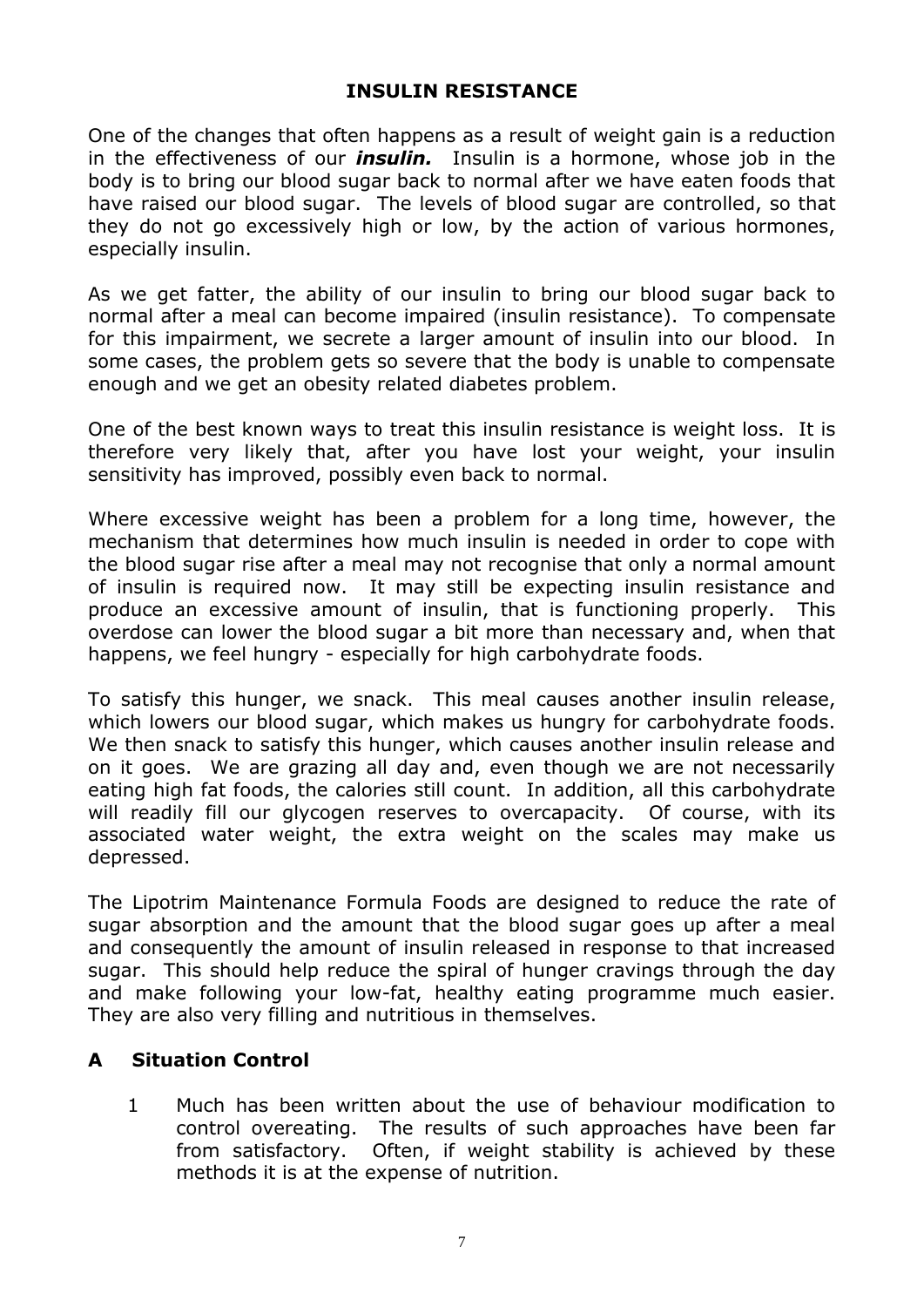# **INSULIN RESISTANCE**

One of the changes that often happens as a result of weight gain is a reduction in the effectiveness of our *insulin.* Insulin is a hormone, whose job in the body is to bring our blood sugar back to normal after we have eaten foods that have raised our blood sugar. The levels of blood sugar are controlled, so that they do not go excessively high or low, by the action of various hormones, especially insulin.

As we get fatter, the ability of our insulin to bring our blood sugar back to normal after a meal can become impaired (insulin resistance). To compensate for this impairment, we secrete a larger amount of insulin into our blood. In some cases, the problem gets so severe that the body is unable to compensate enough and we get an obesity related diabetes problem.

One of the best known ways to treat this insulin resistance is weight loss. It is therefore very likely that, after you have lost your weight, your insulin sensitivity has improved, possibly even back to normal.

Where excessive weight has been a problem for a long time, however, the mechanism that determines how much insulin is needed in order to cope with the blood sugar rise after a meal may not recognise that only a normal amount of insulin is required now. It may still be expecting insulin resistance and produce an excessive amount of insulin, that is functioning properly. This overdose can lower the blood sugar a bit more than necessary and, when that happens, we feel hungry - especially for high carbohydrate foods.

To satisfy this hunger, we snack. This meal causes another insulin release, which lowers our blood sugar, which makes us hungry for carbohydrate foods. We then snack to satisfy this hunger, which causes another insulin release and on it goes. We are grazing all day and, even though we are not necessarily eating high fat foods, the calories still count. In addition, all this carbohydrate will readily fill our glycogen reserves to overcapacity. Of course, with its associated water weight, the extra weight on the scales may make us depressed.

The Lipotrim Maintenance Formula Foods are designed to reduce the rate of sugar absorption and the amount that the blood sugar goes up after a meal and consequently the amount of insulin released in response to that increased sugar. This should help reduce the spiral of hunger cravings through the day and make following your low-fat, healthy eating programme much easier. They are also very filling and nutritious in themselves.

# **A Situation Control**

 1 Much has been written about the use of behaviour modification to control overeating. The results of such approaches have been far from satisfactory. Often, if weight stability is achieved by these methods it is at the expense of nutrition.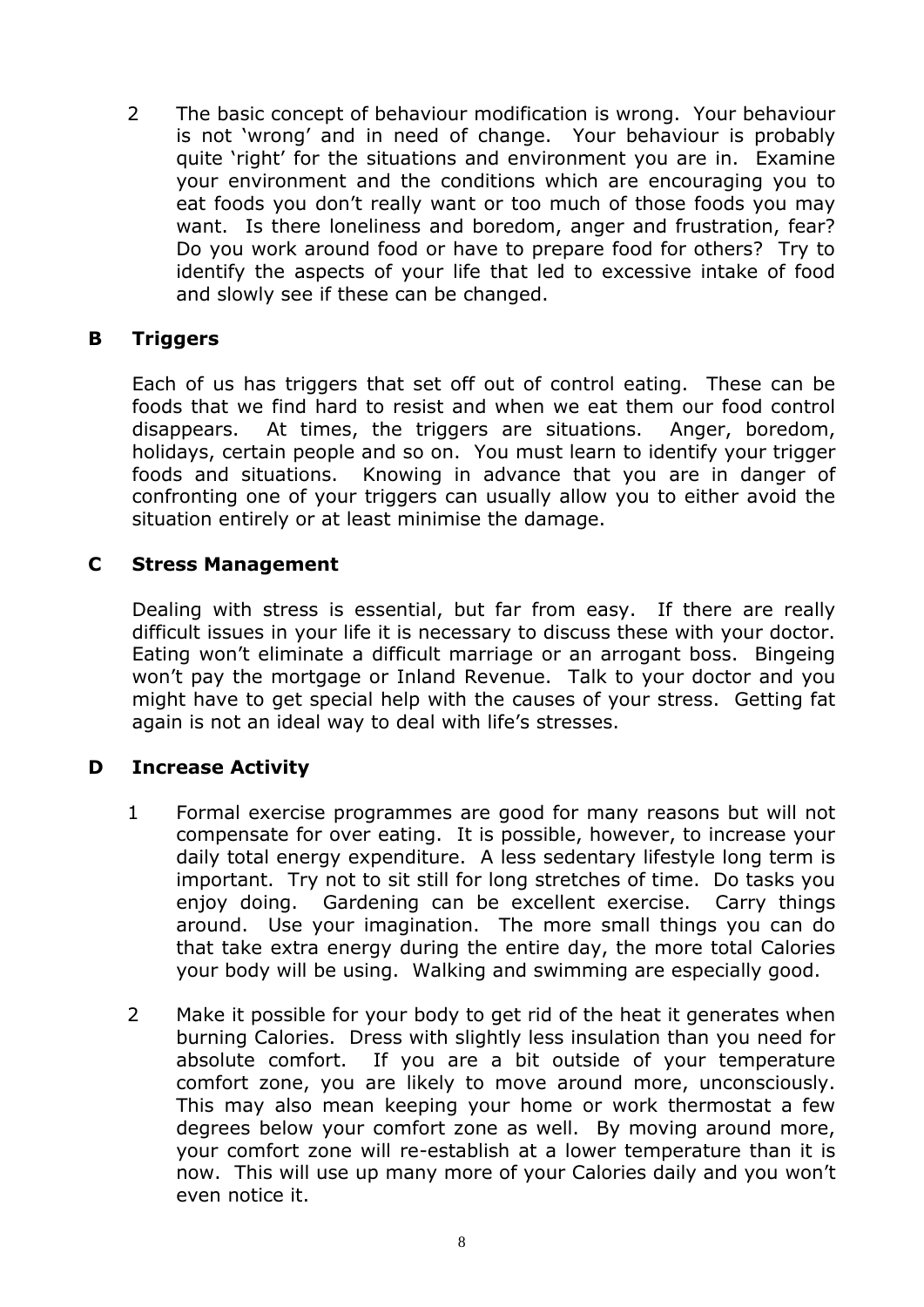2 The basic concept of behaviour modification is wrong. Your behaviour is not 'wrong' and in need of change. Your behaviour is probably quite 'right' for the situations and environment you are in. Examine your environment and the conditions which are encouraging you to eat foods you don't really want or too much of those foods you may want. Is there loneliness and boredom, anger and frustration, fear? Do you work around food or have to prepare food for others? Try to identify the aspects of your life that led to excessive intake of food and slowly see if these can be changed.

#### **B Triggers**

 Each of us has triggers that set off out of control eating. These can be foods that we find hard to resist and when we eat them our food control disappears. At times, the triggers are situations. Anger, boredom, holidays, certain people and so on. You must learn to identify your trigger foods and situations. Knowing in advance that you are in danger of confronting one of your triggers can usually allow you to either avoid the situation entirely or at least minimise the damage.

#### **C Stress Management**

 Dealing with stress is essential, but far from easy. If there are really difficult issues in your life it is necessary to discuss these with your doctor. Eating won't eliminate a difficult marriage or an arrogant boss. Bingeing won't pay the mortgage or Inland Revenue. Talk to your doctor and you might have to get special help with the causes of your stress. Getting fat again is not an ideal way to deal with life's stresses.

# **D Increase Activity**

- 1 Formal exercise programmes are good for many reasons but will not compensate for over eating. It is possible, however, to increase your daily total energy expenditure. A less sedentary lifestyle long term is important. Try not to sit still for long stretches of time. Do tasks you enjoy doing. Gardening can be excellent exercise. Carry things around. Use your imagination. The more small things you can do that take extra energy during the entire day, the more total Calories your body will be using. Walking and swimming are especially good.
- 2 Make it possible for your body to get rid of the heat it generates when burning Calories. Dress with slightly less insulation than you need for absolute comfort. If you are a bit outside of your temperature comfort zone, you are likely to move around more, unconsciously. This may also mean keeping your home or work thermostat a few degrees below your comfort zone as well. By moving around more, your comfort zone will re-establish at a lower temperature than it is now. This will use up many more of your Calories daily and you won't even notice it.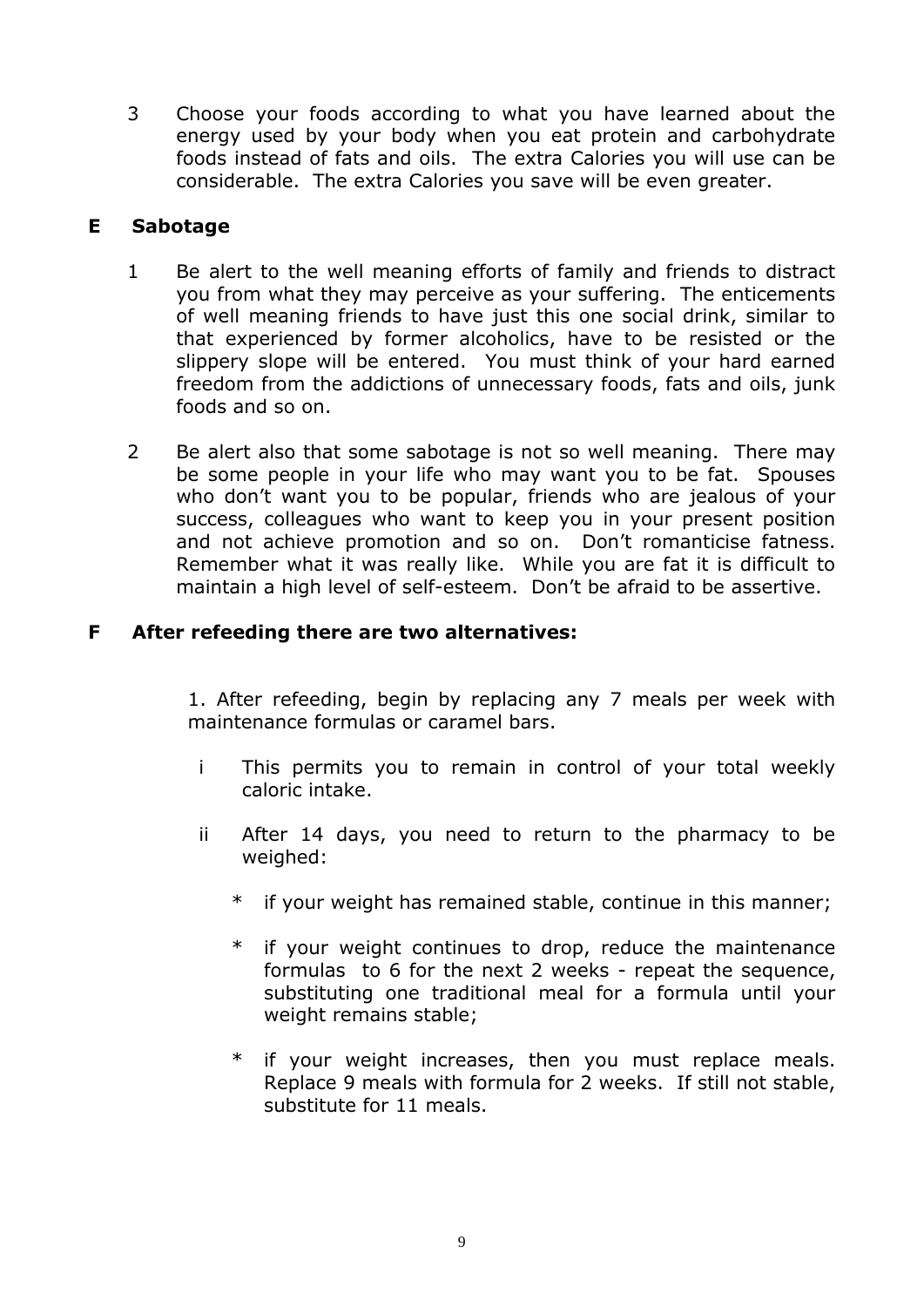3 Choose your foods according to what you have learned about the energy used by your body when you eat protein and carbohydrate foods instead of fats and oils. The extra Calories you will use can be considerable. The extra Calories you save will be even greater.

#### **E Sabotage**

- 1 Be alert to the well meaning efforts of family and friends to distract you from what they may perceive as your suffering. The enticements of well meaning friends to have just this one social drink, similar to that experienced by former alcoholics, have to be resisted or the slippery slope will be entered. You must think of your hard earned freedom from the addictions of unnecessary foods, fats and oils, junk foods and so on.
- 2 Be alert also that some sabotage is not so well meaning. There may be some people in your life who may want you to be fat. Spouses who don't want you to be popular, friends who are jealous of your success, colleagues who want to keep you in your present position and not achieve promotion and so on. Don't romanticise fatness. Remember what it was really like. While you are fat it is difficult to maintain a high level of self-esteem. Don't be afraid to be assertive.

#### **F After refeeding there are two alternatives:**

 1. After refeeding, begin by replacing any 7 meals per week with maintenance formulas or caramel bars.

- i This permits you to remain in control of your total weekly caloric intake.
- ii After 14 days, you need to return to the pharmacy to be weighed:
	- \* if your weight has remained stable, continue in this manner;
	- \* if your weight continues to drop, reduce the maintenance formulas to 6 for the next 2 weeks - repeat the sequence, substituting one traditional meal for a formula until your weight remains stable;
	- if your weight increases, then you must replace meals. Replace 9 meals with formula for 2 weeks. If still not stable, substitute for 11 meals.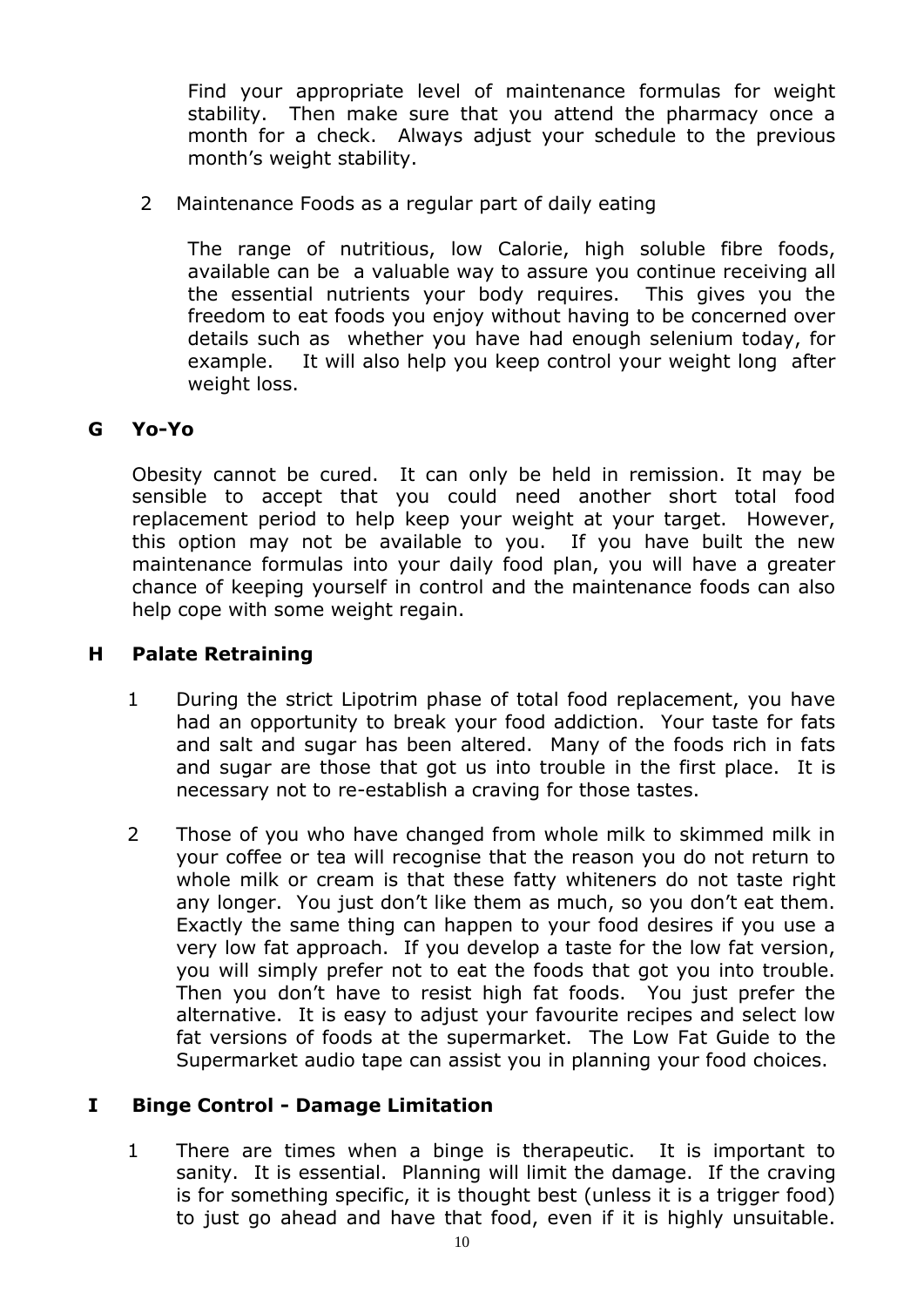Find your appropriate level of maintenance formulas for weight stability. Then make sure that you attend the pharmacy once a month for a check. Always adjust your schedule to the previous month's weight stability.

2 Maintenance Foods as a regular part of daily eating

 The range of nutritious, low Calorie, high soluble fibre foods, available can be a valuable way to assure you continue receiving all the essential nutrients your body requires. This gives you the freedom to eat foods you enjoy without having to be concerned over details such as whether you have had enough selenium today, for example. It will also help you keep control your weight long after weight loss.

# **G Yo-Yo**

 Obesity cannot be cured. It can only be held in remission. It may be sensible to accept that you could need another short total food replacement period to help keep your weight at your target. However, this option may not be available to you. If you have built the new maintenance formulas into your daily food plan, you will have a greater chance of keeping yourself in control and the maintenance foods can also help cope with some weight regain.

#### **H Palate Retraining**

- 1 During the strict Lipotrim phase of total food replacement, you have had an opportunity to break your food addiction. Your taste for fats and salt and sugar has been altered. Many of the foods rich in fats and sugar are those that got us into trouble in the first place. It is necessary not to re-establish a craving for those tastes.
- 2 Those of you who have changed from whole milk to skimmed milk in your coffee or tea will recognise that the reason you do not return to whole milk or cream is that these fatty whiteners do not taste right any longer. You just don't like them as much, so you don't eat them. Exactly the same thing can happen to your food desires if you use a very low fat approach. If you develop a taste for the low fat version, you will simply prefer not to eat the foods that got you into trouble. Then you don't have to resist high fat foods. You just prefer the alternative. It is easy to adjust your favourite recipes and select low fat versions of foods at the supermarket. The Low Fat Guide to the Supermarket audio tape can assist you in planning your food choices.

#### **I Binge Control - Damage Limitation**

 1 There are times when a binge is therapeutic. It is important to sanity. It is essential. Planning will limit the damage. If the craving is for something specific, it is thought best (unless it is a trigger food) to just go ahead and have that food, even if it is highly unsuitable.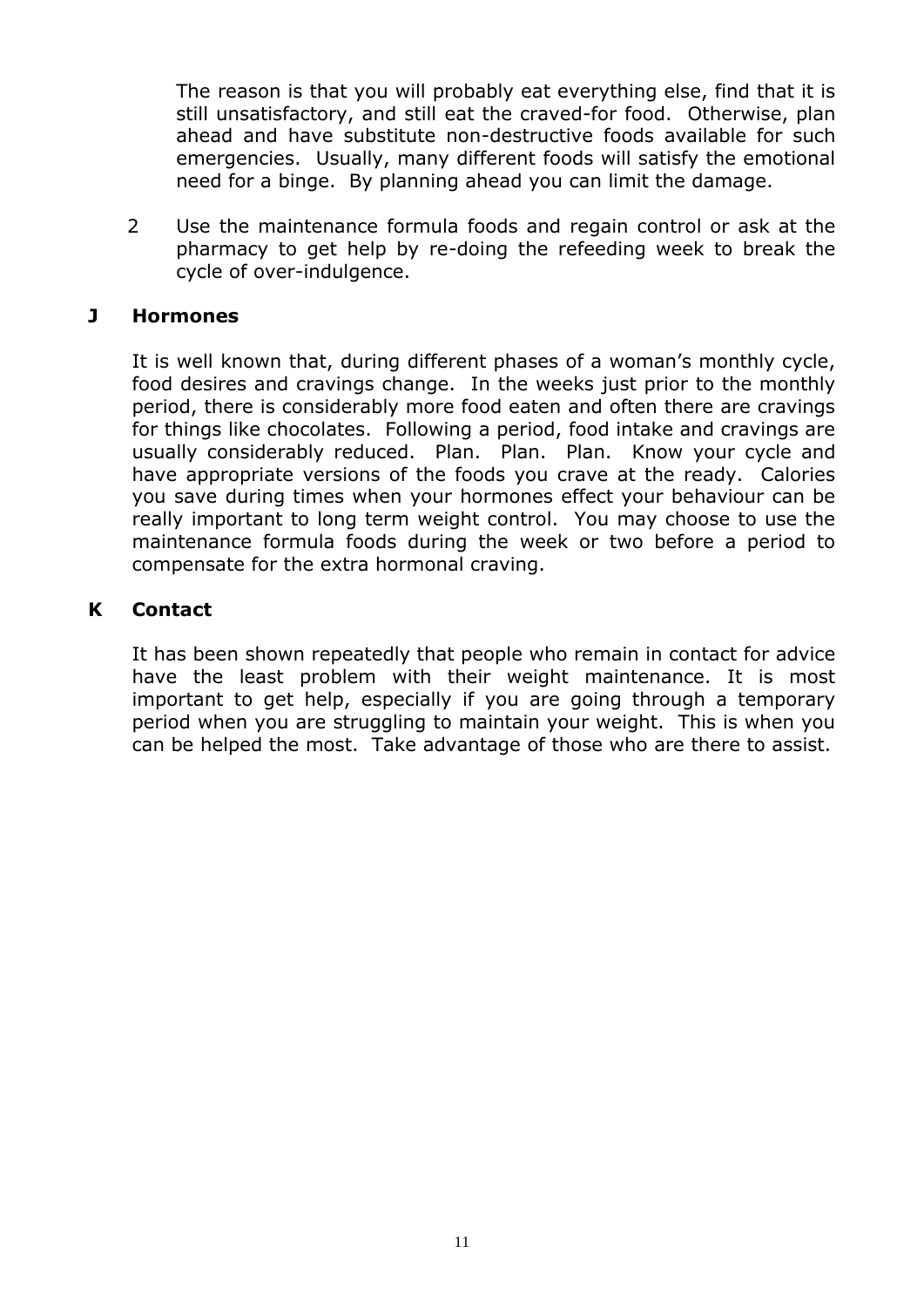The reason is that you will probably eat everything else, find that it is still unsatisfactory, and still eat the craved-for food. Otherwise, plan ahead and have substitute non-destructive foods available for such emergencies. Usually, many different foods will satisfy the emotional need for a binge. By planning ahead you can limit the damage.

 2 Use the maintenance formula foods and regain control or ask at the pharmacy to get help by re-doing the refeeding week to break the cycle of over-indulgence.

#### **J Hormones**

It is well known that, during different phases of a woman's monthly cycle, food desires and cravings change. In the weeks just prior to the monthly period, there is considerably more food eaten and often there are cravings for things like chocolates. Following a period, food intake and cravings are usually considerably reduced. Plan. Plan. Plan. Know your cycle and have appropriate versions of the foods you crave at the ready. Calories you save during times when your hormones effect your behaviour can be really important to long term weight control. You may choose to use the maintenance formula foods during the week or two before a period to compensate for the extra hormonal craving.

# **K Contact**

It has been shown repeatedly that people who remain in contact for advice have the least problem with their weight maintenance. It is most important to get help, especially if you are going through a temporary period when you are struggling to maintain your weight. This is when you can be helped the most. Take advantage of those who are there to assist.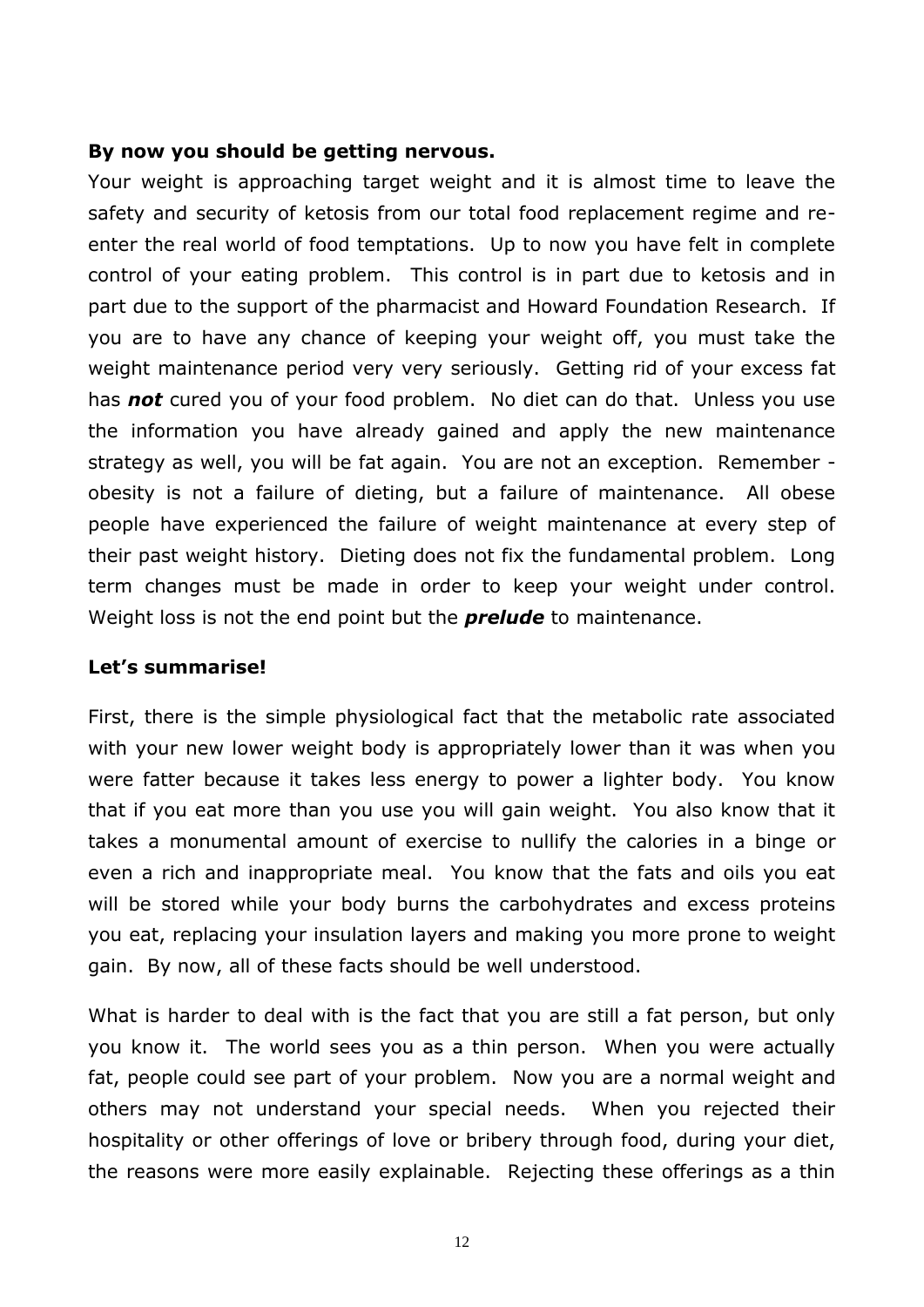#### **By now you should be getting nervous.**

Your weight is approaching target weight and it is almost time to leave the safety and security of ketosis from our total food replacement regime and reenter the real world of food temptations. Up to now you have felt in complete control of your eating problem. This control is in part due to ketosis and in part due to the support of the pharmacist and Howard Foundation Research. If you are to have any chance of keeping your weight off, you must take the weight maintenance period very very seriously. Getting rid of your excess fat has *not* cured you of your food problem. No diet can do that. Unless you use the information you have already gained and apply the new maintenance strategy as well, you will be fat again. You are not an exception. Remember obesity is not a failure of dieting, but a failure of maintenance. All obese people have experienced the failure of weight maintenance at every step of their past weight history. Dieting does not fix the fundamental problem. Long term changes must be made in order to keep your weight under control. Weight loss is not the end point but the *prelude* to maintenance.

#### **Let's summarise!**

First, there is the simple physiological fact that the metabolic rate associated with your new lower weight body is appropriately lower than it was when you were fatter because it takes less energy to power a lighter body. You know that if you eat more than you use you will gain weight. You also know that it takes a monumental amount of exercise to nullify the calories in a binge or even a rich and inappropriate meal. You know that the fats and oils you eat will be stored while your body burns the carbohydrates and excess proteins you eat, replacing your insulation layers and making you more prone to weight gain. By now, all of these facts should be well understood.

What is harder to deal with is the fact that you are still a fat person, but only you know it. The world sees you as a thin person. When you were actually fat, people could see part of your problem. Now you are a normal weight and others may not understand your special needs. When you rejected their hospitality or other offerings of love or bribery through food, during your diet, the reasons were more easily explainable. Rejecting these offerings as a thin

12